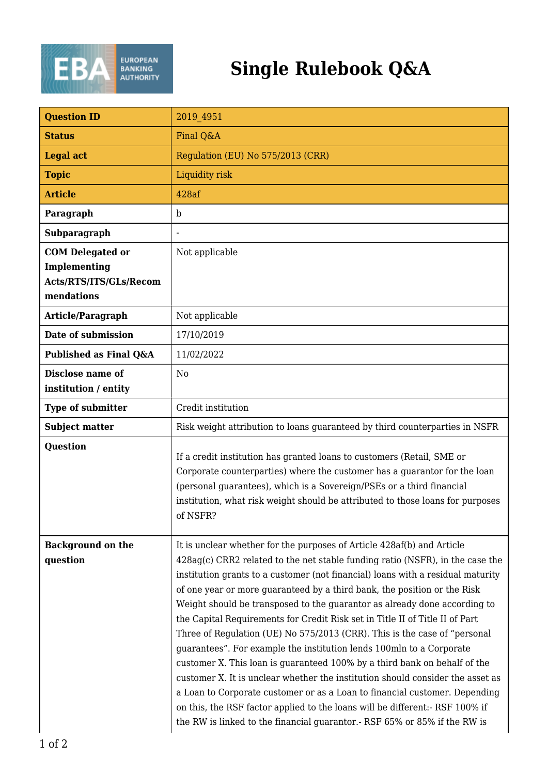

| <b>Question ID</b>                                                              | 2019 4951                                                                                                                                                                                                                                                                                                                                                                                                                                                                                                                                                                                                                                                                                                                                                                                                                                                                                                                                                                                                                                         |
|---------------------------------------------------------------------------------|---------------------------------------------------------------------------------------------------------------------------------------------------------------------------------------------------------------------------------------------------------------------------------------------------------------------------------------------------------------------------------------------------------------------------------------------------------------------------------------------------------------------------------------------------------------------------------------------------------------------------------------------------------------------------------------------------------------------------------------------------------------------------------------------------------------------------------------------------------------------------------------------------------------------------------------------------------------------------------------------------------------------------------------------------|
| <b>Status</b>                                                                   | Final Q&A                                                                                                                                                                                                                                                                                                                                                                                                                                                                                                                                                                                                                                                                                                                                                                                                                                                                                                                                                                                                                                         |
| <b>Legal act</b>                                                                | Regulation (EU) No 575/2013 (CRR)                                                                                                                                                                                                                                                                                                                                                                                                                                                                                                                                                                                                                                                                                                                                                                                                                                                                                                                                                                                                                 |
| <b>Topic</b>                                                                    | Liquidity risk                                                                                                                                                                                                                                                                                                                                                                                                                                                                                                                                                                                                                                                                                                                                                                                                                                                                                                                                                                                                                                    |
| <b>Article</b>                                                                  | 428af                                                                                                                                                                                                                                                                                                                                                                                                                                                                                                                                                                                                                                                                                                                                                                                                                                                                                                                                                                                                                                             |
| Paragraph                                                                       | $\mathbf b$                                                                                                                                                                                                                                                                                                                                                                                                                                                                                                                                                                                                                                                                                                                                                                                                                                                                                                                                                                                                                                       |
| Subparagraph                                                                    |                                                                                                                                                                                                                                                                                                                                                                                                                                                                                                                                                                                                                                                                                                                                                                                                                                                                                                                                                                                                                                                   |
| <b>COM</b> Delegated or<br>Implementing<br>Acts/RTS/ITS/GLs/Recom<br>mendations | Not applicable                                                                                                                                                                                                                                                                                                                                                                                                                                                                                                                                                                                                                                                                                                                                                                                                                                                                                                                                                                                                                                    |
| Article/Paragraph                                                               | Not applicable                                                                                                                                                                                                                                                                                                                                                                                                                                                                                                                                                                                                                                                                                                                                                                                                                                                                                                                                                                                                                                    |
| Date of submission                                                              | 17/10/2019                                                                                                                                                                                                                                                                                                                                                                                                                                                                                                                                                                                                                                                                                                                                                                                                                                                                                                                                                                                                                                        |
| Published as Final Q&A                                                          | 11/02/2022                                                                                                                                                                                                                                                                                                                                                                                                                                                                                                                                                                                                                                                                                                                                                                                                                                                                                                                                                                                                                                        |
| Disclose name of<br>institution / entity                                        | N <sub>0</sub>                                                                                                                                                                                                                                                                                                                                                                                                                                                                                                                                                                                                                                                                                                                                                                                                                                                                                                                                                                                                                                    |
| <b>Type of submitter</b>                                                        | Credit institution                                                                                                                                                                                                                                                                                                                                                                                                                                                                                                                                                                                                                                                                                                                                                                                                                                                                                                                                                                                                                                |
| <b>Subject matter</b>                                                           | Risk weight attribution to loans guaranteed by third counterparties in NSFR                                                                                                                                                                                                                                                                                                                                                                                                                                                                                                                                                                                                                                                                                                                                                                                                                                                                                                                                                                       |
| <b>Question</b>                                                                 | If a credit institution has granted loans to customers (Retail, SME or<br>Corporate counterparties) where the customer has a guarantor for the loan<br>(personal guarantees), which is a Sovereign/PSEs or a third financial<br>institution, what risk weight should be attributed to those loans for purposes<br>of NSFR?                                                                                                                                                                                                                                                                                                                                                                                                                                                                                                                                                                                                                                                                                                                        |
| <b>Background on the</b><br>question                                            | It is unclear whether for the purposes of Article 428af(b) and Article<br>428ag(c) CRR2 related to the net stable funding ratio (NSFR), in the case the<br>institution grants to a customer (not financial) loans with a residual maturity<br>of one year or more guaranteed by a third bank, the position or the Risk<br>Weight should be transposed to the guarantor as already done according to<br>the Capital Requirements for Credit Risk set in Title II of Title II of Part<br>Three of Regulation (UE) No 575/2013 (CRR). This is the case of "personal<br>guarantees". For example the institution lends 100mln to a Corporate<br>customer X. This loan is guaranteed 100% by a third bank on behalf of the<br>customer X. It is unclear whether the institution should consider the asset as<br>a Loan to Corporate customer or as a Loan to financial customer. Depending<br>on this, the RSF factor applied to the loans will be different:- RSF 100% if<br>the RW is linked to the financial guarantor. RSF 65% or 85% if the RW is |